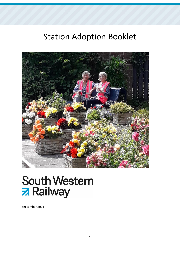## Station Adoption Booklet



# **South Western z** Railway

September 2021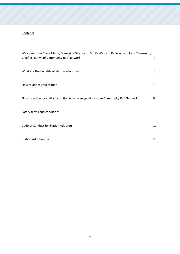### **Contents**

| Welcome from Claire Mann, Managing Director of South Western Railway, and Jools Townsend,<br>Chief Executive of Community Rail Network | 3  |
|----------------------------------------------------------------------------------------------------------------------------------------|----|
| What are the benefits of station adoption?                                                                                             | 5  |
| How to adopt your station                                                                                                              | 7  |
| Good practice for station adoption - some suggestions from Community Rail Network                                                      | 9  |
| Safety terms and conditions                                                                                                            | 10 |
| Code of Conduct for Station Adopters                                                                                                   | 11 |
| <b>Station Adoption Form</b>                                                                                                           | 12 |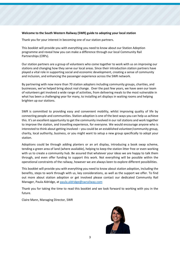#### **Welcome to the South Western Railway (SWR) guide to adopting your local station**

Thank you for your interest in becoming one of our station partners.

This booklet will provide you with everything you need to know about our Station Adoption programme and reveal how you can make a difference through our local Community Rail Partnerships (CRPs).

Our station partners are a group of volunteers who come together to work with us on improving our stations and changing how they serve our local areas. Since their introduction station partners have played a vital role in supporting social and economic development, creating a sense of community and inclusion, and enhancing the passenger experience across the SWR network.

By partnering with now more than 70 station adopters including community groups, charities, and businesses, we've helped bring about real change. Over the past few years, we have seen our team of volunteers get involved a wide range of activities, from delivering meals to the most vulnerable in what has been a challenging year for many, to installing art displays in waiting rooms and helping brighten up our stations.

SWR is committed to providing easy and convenient mobility, whilst improving quality of life by connecting people and communities. Station adoption is one of the best ways you can help us achieve this. It's an excellent opportunity to get the community involved in our rail stations and work together to improve the station, and travelling experience, for everyone. We would encourage anyone who is interested to think about getting involved – you could be an established volunteer/community group, charity, local authority, business, or you might want to setup a new group specifically to adopt your station.

Adoptions could be through adding planters or an art display, introducing a book swap scheme, tending a green area of land (where available), helping to keep the station litter free or even working with us to create a community hub. Be assured that whatever your ideas we are happy to talk them through, and even offer funding to support this work. Not everything will be possible within the operational constraints of the railway, however we are always keen to explore different possibilities.

This booklet will provide you with everything you need to know about station adoption, including the benefits, steps to work through with us, key considerations, as well as the support we offer. To find out more about station adoption or get involved please contact our dedicated Community Rail Manager, Paula Aldridge, a[t paula.aldridge@swrailway.com](mailto:Andrew.harrowell@swrailway.com)

Thank you for taking the time to read this booklet and we look forward to working with you in the future.

Claire Mann, Managing Director, SWR

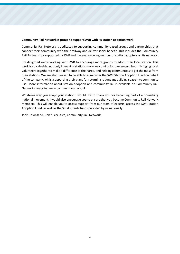#### **Community Rail Network is proud to support SWR with its station adoption work**

Community Rail Network is dedicated to supporting community-based groups and partnerships that connect their community with their railway and deliver social benefit. This includes the Community Rail Partnerships supported by SWR and the ever-growing number of station adopters on its network.

I'm delighted we're working with SWR to encourage more groups to adopt their local station. This work is so valuable, not only in making stations more welcoming for passengers, but in bringing local volunteers together to make a difference to their area, and helping communities to get the most from their stations. We are also pleased to be able to administer the SWR Station Adoption Fund on behalf of the company, whilst supporting their plans for returning redundant building space into community use. More information about station adoption and community rail is available on Community Rail Network's website: www.communityrail.org.uk

Whatever way you adopt your station I would like to thank you for becoming part of a flourishing national movement. I would also encourage you to ensure that you become Community Rail Network members. This will enable you to access support from our team of experts, access the SWR Station Adoption Fund, as well as the Small Grants funds provided by us nationally.

Jools Townsend, Chief Executive, Community Rail Network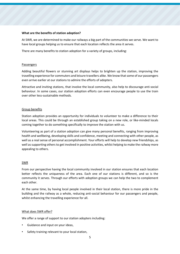#### **What are the benefits of station adoption?**

At SWR, we are determined to make our railways a big part of the communities we serve. We want to have local groups helping us to ensure that each location reflects the area it serves.

There are many benefits to station adoption for a variety of groups, including:

#### Passengers

Adding beautiful flowers or stunning art displays helps to brighten up the station, improving the travelling experience for commuters and leisure travellers alike. We know that some of our passengers even arrive earlier at our stations to admire the efforts of adopters.

Attractive and inviting stations, that involve the local community, also help to discourage anti-social behaviour. In some cases, our station adoption efforts can even encourage people to use the train over other less-sustainable methods.

#### Group benefits

Station adoption provides an opportunity for individuals to volunteer to make a difference to their local areas. This could be through an established group taking on a new role, or like-minded locals coming together to do something specifically to improve the station with us.

Volunteering as part of a station adoption can give many personal benefits, ranging from improving health and wellbeing, developing skills and confidence, meeting and connecting with other people, as well as a real sense of personal accomplishment. Your efforts will help to develop new friendships, as well as supporting others to get involved in positive activities, whilst helping to make the railway more appealing to others.

#### SWR

From our perspective having the local community involved in our station ensures that each location better reflects the uniqueness of the area. Each one of our stations is different, and so is the community it serves. Through our efforts with adoption groups we can help the two to complement each other.

At the same time, by having local people involved in their local station, there is more pride in the building and the railway as a whole, reducing anti-social behaviour for our passengers and people, whilst enhancing the travelling experience for all.

#### What does SWR offer?

We offer a range of support to our station adopters including:

- Guidance and input on your ideas,
- Safety training relevant to your local station,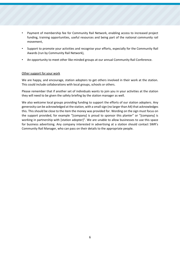- Payment of membership fee for Community Rail Network, enabling access to increased project funding, training opportunities, useful resources and being part of the national community rail movement,
- Support to promote your activities and recognise your efforts, especially for the Community Rail Awards (run by Community Rail Network),
- An opportunity to meet other like-minded groups at our annual Community Rail Conference.

#### Other support for your work

We are happy, and encourage, station adopters to get others involved in their work at the station. This could include collaborations with local groups, schools or others.

Please remember that if another set of individuals wants to join you in your activities at the station they will need to be given the safety briefing by the station manager as well.

We also welcome local groups providing funding to support the efforts of our station adopters. Any generosity can be acknowledged at the station, with a smallsign (no larger than A4) that acknowledges this. This should be close to the item the money was provided for. Wording on the sign must focus on the support provided, for example "[company] is proud to sponsor this planter" or "[company] is working in partnership with [station adopter]". We are unable to allow businesses to use this space for business advertising. Any company interested in advertising at a station should contact SWR's Community Rail Manager, who can pass on their details to the appropriate people.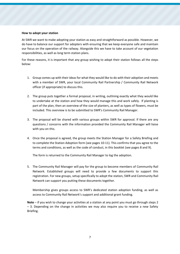#### **How to adopt your station**

At SWR we want to make adopting your station as easy and straightforward as possible. However, we do have to balance our support for adopters with ensuring that we keep everyone safe and maintain our focus on the operation of the railway. Alongside this we have to take account of our vegetation responsibilities, as well as long term station plans.

For these reasons, it is important that any group wishing to adopt their station follows all the steps below:

- 1. Group comes up with their ideas for what they would like to do with their adoption and meets with a member of SWR, your local Community Rail Partnership / Community Rail Network officer (if appropriate) to discuss this.
- 2. The group puts together a formal proposal, in writing, outlining exactly what they would like to undertake at the station and how they would manage this and work safely. If planting is part of the plan, then an overview of the size of planters, as well as types of flowers, must be included. This overview is to be submitted to SWR's Community Rail Manager.
- 3. The proposal will be shared with various groups within SWR for approval. If there are any questions / concerns with the information provided the Community Rail Manager will liaise with you on this.
- 4. Once the proposal is agreed, the group meets the Station Manager for a Safety Briefing and to complete the Station Adoption form (see pages 10-11). This confirms that you agree to the terms and conditions, as well as the code of conduct, in this booklet (see pages 8 and 9).

The form is returned to the Community Rail Manager to log the adoption.

5. The Community Rail Manager will pay for the group to become members of Community Rail Network. Established groups will need to provide a few documents to support this registration. For new groups, setup specifically to adopt the station, SWR and Community Rail Network can support you putting these documents together.

Membership gives groups access to SWR's dedicated station adoption funding, as well as access to Community Rail Network's support and additional grant funding.

**Note** – if you wish to change your activities at a station at any point you must go through steps 2 – 3. Depending on the change in activities we may also require you to receive a new Safety Briefing.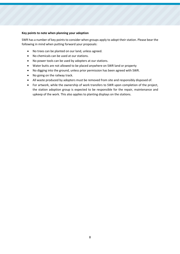#### **Key points to note when planning your adoption**

SWR has a number of key points to consider when groups apply to adopt their station. Please bear the following in mind when putting forward your proposals:

- No trees can be planted on our land, unless agreed.
- No chemicals can be used at our stations.
- No power tools can be used by adopters at our stations.
- Water butts are not allowed to be placed anywhere on SWR land or property
- No digging into the ground, unless prior permission has been agreed with SWR.
- No going on the railway track.
- All waste produced by adopters must be removed from site and responsibly disposed of.
- For artwork, while the ownership of work transfers to SWR upon completion of the project, the station adoption group is expected to be responsible for the repair, maintenance and upkeep of the work. This also applies to planting displays on the stations.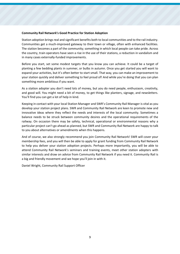#### **Community Rail Network's Good Practice for Station Adoption**

Station adoption brings real and significant benefits both to local communities and to the rail industry. Communities get a much-improved gateway to their town or village, often with enhanced facilities. The station becomes a part of the community; something in which local people can take pride. Across the country, train operators have seen a rise in the use of their stations, a reduction in vandalism and in many cases externally-funded improvements.

Before you start, set some modest targets that you know you can achieve. It could be a target of planting a few bedding plants in summer, or bulbs in autumn. Once you get started you will want to expand your activities, but it's often better to start small. That way, you can make an improvement to your station quickly and deliver something to feel proud of! And while you're doing that you can plan something more ambitious if you want.

As a station adopter you don't need lots of money, but you do need people, enthusiasm, creativity, and good will. You might need a bit of money, to get things like planters, signage, and newsletters. You'll find you can get a lot of help in kind.

Keeping in contact with your local Station Manager and SWR's Community Rail Manager is vital as you develop your station project plans. SWR and Community Rail Network are keen to promote new and innovative ideas where they reflect the needs and interests of the local community. Sometimes a balance needs to be struck between community desires and the operational requirements of the railway. On occasion there may be safety, technical, operational or environmental reasons why a particular project can't go ahead as planned, but SWR and Community Rail Network are happy to talk to you about alternatives or amendments when this happens.

And of course, we also strongly recommend you join Community Rail Network! SWR will cover your membership fees, and you will then be able to apply for grant funding from Community Rail Network to help you deliver your station adoption projects. Perhaps more importantly, you will be able to attend Community Rail Network's seminars and training events, meet other station adopters with similar interests and draw on advice from Community Rail Network if you need it. Community Rail is a big and friendly movement and we hope you'll join in with it.

Daniel Wright, Community Rail Support Officer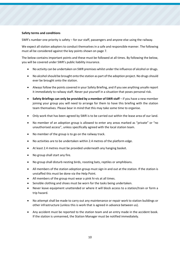#### **Safety terms and conditions**

SWR's number one priority is safety – for our staff, passengers and anyone else using the railway.

We expect all station adopters to conduct themselves in a safe and responsible manner. The following must all be considered against the key points shown on page 7.

The below contains important points and these must be followed at all times. By following the below, you will be covered under SWR's public liability insurance.

- No activity can be undertaken on SWR premises whilst under the influence of alcohol or drugs.
- No alcohol should be brought onto the station as part of the adoption project. No drugs should ever be brought onto the station.
- Always follow the points covered in your Safety Briefing, and if you see anything unsafe report it immediately to railway staff. Never put yourself in a situation that poses personal risk.
- **Safety Briefings can only be provided by a member of SWR staff** if you have a new member joining your group you will need to arrange for them to have this briefing with the station team themselves. Please bear in mind that this may take some time to organise.
- Only work that has been agreed by SWR is to be carried out within the lease area of our land.
- No member of an adoption group is allowed to enter any areas marked as "private" or "no unauthorised access", unless specifically agreed with the local station team.
- No member of the group is to go on the railway track.
- No activities are to be undertaken within 2.4 metres of the platform edge.
- At least 2.4 metres must be provided underneath any hanging basket.
- No group shall start any fire.
- No group shall disturb nesting birds, roosting bats, reptiles or amphibians.
- All members of the station adoption group must sign in and out at the station. If the station is unstaffed this must be done via the Help Point.
- All members of the group must wear a pink hi-vis at all times.
- Sensible clothing and shoes must be worn for the tasks being undertaken.
- Never leave equipment unattended or where it will block access to a station/train or form a trip hazard.
- No attempt shall be made to carry out any maintenance or repair work to station buildings or other infrastructure (unless this is work that is agreed in advance between us).
- Any accident must be reported to the station team and an entry made in the accident book. If the station is unmanned, the Station Manager must be notified immediately.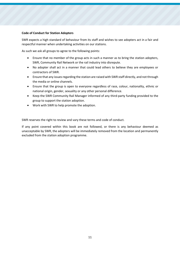#### **Code of Conduct for Station Adopters**

SWR expects a high standard of behaviour from its staff and wishes to see adopters act in a fair and respectful manner when undertaking activities on our stations.

As such we ask all groups to agree to the following points:

- Ensure that no member of the group acts in such a manner as to bring the station adopters, SWR, Community Rail Network or the rail industry into disrepute.
- No adopter shall act in a manner that could lead others to believe they are employees or contractors of SWR.
- Ensure that any issues regarding the station are raised with SWR staff directly, and not through the media or online channels.
- Ensure that the group is open to everyone regardless of race, colour, nationality, ethnic or national origin, gender, sexuality or any other personal difference.
- Keep the SWR Community Rail Manager informed of any third-party funding provided to the group to support the station adoption.
- Work with SWR to help promote the adoption.

SWR reserves the right to review and vary these terms and code of conduct.

If any point covered within this book are not followed, or there is any behaviour deemed as unacceptable by SWR, the adopters will be immediately removed from the location and permanently excluded from the station adoption programme.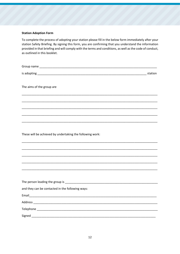#### **Station Adoption Form**

To complete the process of adopting your station please fill in the below form immediately after your station Safety Briefing. By signing this form, you are confirming that you understand the information provided in that briefing and will comply with the terms and conditions, as well as the code of conduct, as outlined in this booklet.

| The aims of the group are                                 |  |
|-----------------------------------------------------------|--|
|                                                           |  |
|                                                           |  |
|                                                           |  |
| These will be achieved by undertaking the following work: |  |
|                                                           |  |
|                                                           |  |
|                                                           |  |
|                                                           |  |
|                                                           |  |
| and they can be contacted in the following ways:          |  |
|                                                           |  |
|                                                           |  |
|                                                           |  |
| Signed <b>Signed Signed Signed Signed Signed</b>          |  |